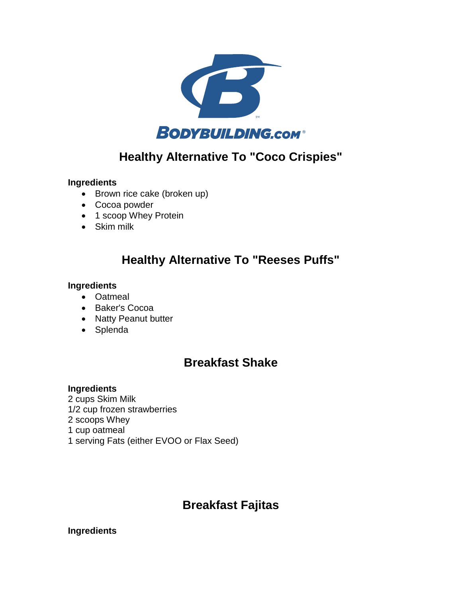

# **Healthy Alternative To "Coco Crispies"**

#### **Ingredients**

- Brown rice cake (broken up)
- Cocoa powder
- 1 scoop Whey Protein
- Skim milk

### **Healthy Alternative To "Reeses Puffs"**

#### **Ingredients**

- Oatmeal
- Baker's Cocoa
- Natty Peanut butter
- Splenda

### **Breakfast Shake**

#### **Ingredients**

2 cups Skim Milk 1/2 cup frozen strawberries 2 scoops Whey 1 cup oatmeal 1 serving Fats (either EVOO or Flax Seed)

# **Breakfast Fajitas**

#### **Ingredients**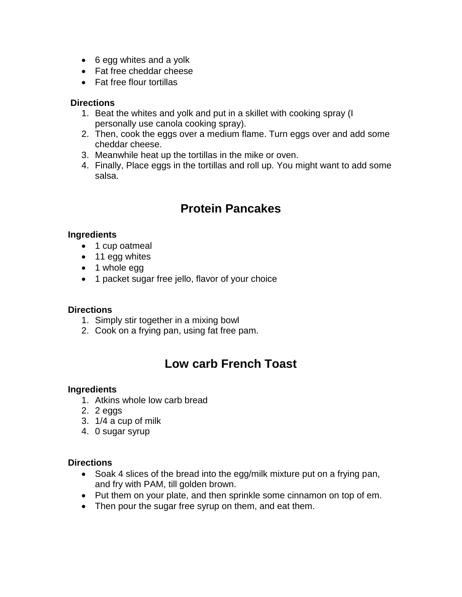- 6 egg whites and a yolk
- Fat free cheddar cheese
- Fat free flour tortillas

#### **Directions**

- 1. Beat the whites and yolk and put in a skillet with cooking spray (I personally use canola cooking spray).
- 2. Then, cook the eggs over a medium flame. Turn eggs over and add some cheddar cheese.
- 3. Meanwhile heat up the tortillas in the mike or oven.
- 4. Finally, Place eggs in the tortillas and roll up. You might want to add some salsa.

# **Protein Pancakes**

#### **Ingredients**

- 1 cup oatmeal
- 11 egg whites
- 1 whole egg
- 1 packet sugar free jello, flavor of your choice

#### **Directions**

- 1. Simply stir together in a mixing bowl
- 2. Cook on a frying pan, using fat free pam.

# **Low carb French Toast**

#### **Ingredients**

- 1. Atkins whole low carb bread
- 2. 2 eggs
- 3. 1/4 a cup of milk
- 4. 0 sugar syrup

#### **Directions**

- Soak 4 slices of the bread into the egg/milk mixture put on a frying pan, and fry with PAM, till golden brown.
- Put them on your plate, and then sprinkle some cinnamon on top of em.
- Then pour the sugar free syrup on them, and eat them.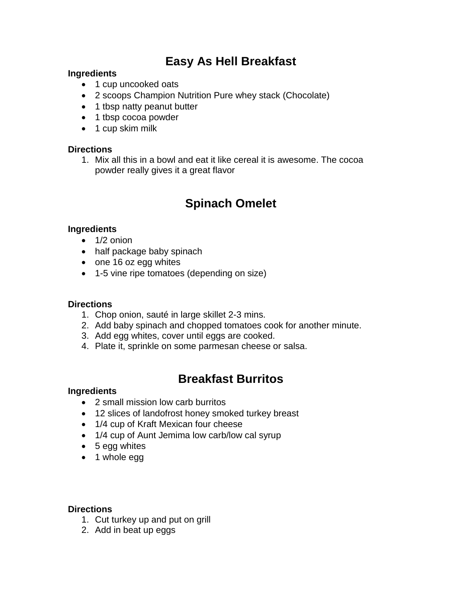# **Easy As Hell Breakfast**

#### **Ingredients**

- 1 cup uncooked oats
- 2 scoops Champion Nutrition Pure whey stack (Chocolate)
- 1 tbsp natty peanut butter
- 1 tbsp cocoa powder
- 1 cup skim milk

#### **Directions**

1. Mix all this in a bowl and eat it like cereal it is awesome. The cocoa powder really gives it a great flavor

# **Spinach Omelet**

#### **Ingredients**

- $\bullet$  1/2 onion
- half package baby spinach
- one 16 oz egg whites
- 1-5 vine ripe tomatoes (depending on size)

#### **Directions**

- 1. Chop onion, sauté in large skillet 2-3 mins.
- 2. Add baby spinach and chopped tomatoes cook for another minute.
- 3. Add egg whites, cover until eggs are cooked.
- 4. Plate it, sprinkle on some parmesan cheese or salsa.

### **Breakfast Burritos**

#### **Ingredients**

- 2 small mission low carb burritos
- 12 slices of landofrost honey smoked turkey breast
- 1/4 cup of Kraft Mexican four cheese
- 1/4 cup of Aunt Jemima low carb/low cal syrup
- 5 egg whites
- 1 whole egg

#### **Directions**

- 1. Cut turkey up and put on grill
- 2. Add in beat up eggs